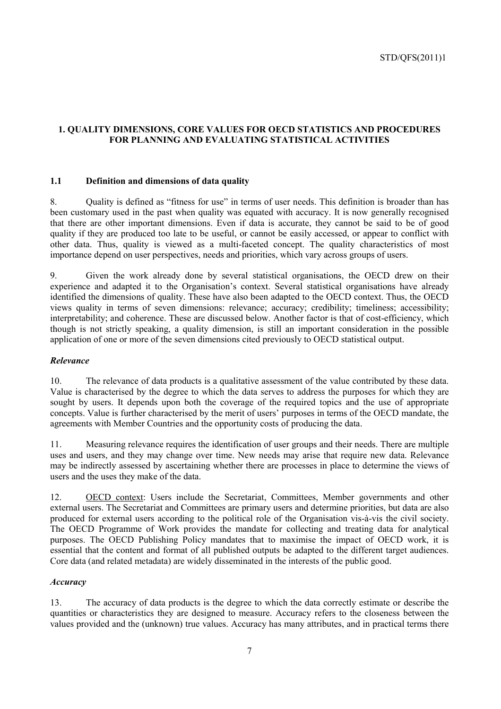## **1. QUALITY DIMENSIONS, CORE VALUES FOR OECD STATISTICS AND PROCEDURES FOR PLANNING AND EVALUATING STATISTICAL ACTIVITIES**

#### **1.1 Definition and dimensions of data quality**

8. Quality is defined as "fitness for use" in terms of user needs. This definition is broader than has been customary used in the past when quality was equated with accuracy. It is now generally recognised that there are other important dimensions. Even if data is accurate, they cannot be said to be of good quality if they are produced too late to be useful, or cannot be easily accessed, or appear to conflict with other data. Thus, quality is viewed as a multi-faceted concept. The quality characteristics of most importance depend on user perspectives, needs and priorities, which vary across groups of users.

9. Given the work already done by several statistical organisations, the OECD drew on their experience and adapted it to the Organisation's context. Several statistical organisations have already identified the dimensions of quality. These have also been adapted to the OECD context. Thus, the OECD views quality in terms of seven dimensions: relevance; accuracy; credibility; timeliness; accessibility; interpretability; and coherence. These are discussed below. Another factor is that of cost-efficiency, which though is not strictly speaking, a quality dimension, is still an important consideration in the possible application of one or more of the seven dimensions cited previously to OECD statistical output.

#### *Relevance*

10. The relevance of data products is a qualitative assessment of the value contributed by these data. Value is characterised by the degree to which the data serves to address the purposes for which they are sought by users. It depends upon both the coverage of the required topics and the use of appropriate concepts. Value is further characterised by the merit of users' purposes in terms of the OECD mandate, the agreements with Member Countries and the opportunity costs of producing the data.

11. Measuring relevance requires the identification of user groups and their needs. There are multiple uses and users, and they may change over time. New needs may arise that require new data. Relevance may be indirectly assessed by ascertaining whether there are processes in place to determine the views of users and the uses they make of the data.

12. OECD context: Users include the Secretariat, Committees, Member governments and other external users. The Secretariat and Committees are primary users and determine priorities, but data are also produced for external users according to the political role of the Organisation vis-à-vis the civil society. The OECD Programme of Work provides the mandate for collecting and treating data for analytical purposes. The OECD Publishing Policy mandates that to maximise the impact of OECD work, it is essential that the content and format of all published outputs be adapted to the different target audiences. Core data (and related metadata) are widely disseminated in the interests of the public good.

#### *Accuracy*

13. The accuracy of data products is the degree to which the data correctly estimate or describe the quantities or characteristics they are designed to measure. Accuracy refers to the closeness between the values provided and the (unknown) true values. Accuracy has many attributes, and in practical terms there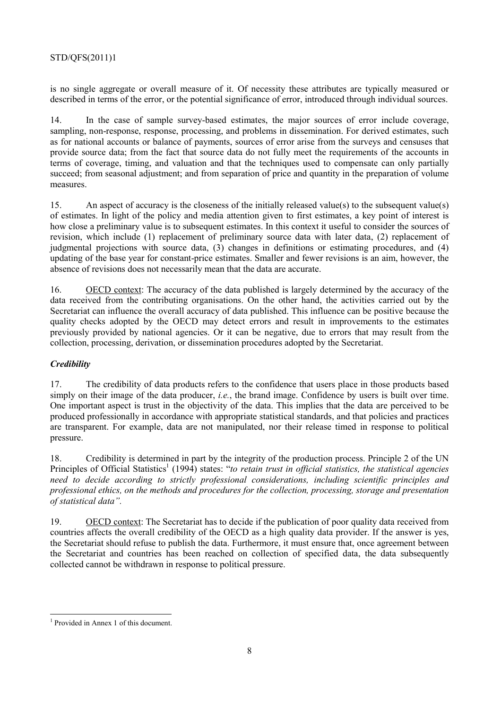is no single aggregate or overall measure of it. Of necessity these attributes are typically measured or described in terms of the error, or the potential significance of error, introduced through individual sources.

14. In the case of sample survey-based estimates, the major sources of error include coverage, sampling, non-response, response, processing, and problems in dissemination. For derived estimates, such as for national accounts or balance of payments, sources of error arise from the surveys and censuses that provide source data; from the fact that source data do not fully meet the requirements of the accounts in terms of coverage, timing, and valuation and that the techniques used to compensate can only partially succeed; from seasonal adjustment; and from separation of price and quantity in the preparation of volume measures.

15. An aspect of accuracy is the closeness of the initially released value(s) to the subsequent value(s) of estimates. In light of the policy and media attention given to first estimates, a key point of interest is how close a preliminary value is to subsequent estimates. In this context it useful to consider the sources of revision, which include (1) replacement of preliminary source data with later data, (2) replacement of judgmental projections with source data, (3) changes in definitions or estimating procedures, and (4) updating of the base year for constant-price estimates. Smaller and fewer revisions is an aim, however, the absence of revisions does not necessarily mean that the data are accurate.

16. OECD context: The accuracy of the data published is largely determined by the accuracy of the data received from the contributing organisations. On the other hand, the activities carried out by the Secretariat can influence the overall accuracy of data published. This influence can be positive because the quality checks adopted by the OECD may detect errors and result in improvements to the estimates previously provided by national agencies. Or it can be negative, due to errors that may result from the collection, processing, derivation, or dissemination procedures adopted by the Secretariat.

## *Credibility*

17. The credibility of data products refers to the confidence that users place in those products based simply on their image of the data producer, *i.e.*, the brand image. Confidence by users is built over time. One important aspect is trust in the objectivity of the data. This implies that the data are perceived to be produced professionally in accordance with appropriate statistical standards, and that policies and practices are transparent. For example, data are not manipulated, nor their release timed in response to political pressure.

18. Credibility is determined in part by the integrity of the production process. Principle 2 of the UN Principles of Official Statistics<sup>1</sup> (1994) states: "to retain trust in official statistics, the statistical agencies *need to decide according to strictly professional considerations, including scientific principles and professional ethics, on the methods and procedures for the collection, processing, storage and presentation of statistical data".*

19. OECD context: The Secretariat has to decide if the publication of poor quality data received from countries affects the overall credibility of the OECD as a high quality data provider. If the answer is yes, the Secretariat should refuse to publish the data. Furthermore, it must ensure that, once agreement between the Secretariat and countries has been reached on collection of specified data, the data subsequently collected cannot be withdrawn in response to political pressure.

<sup>1</sup> Provided in Annex 1 of this document.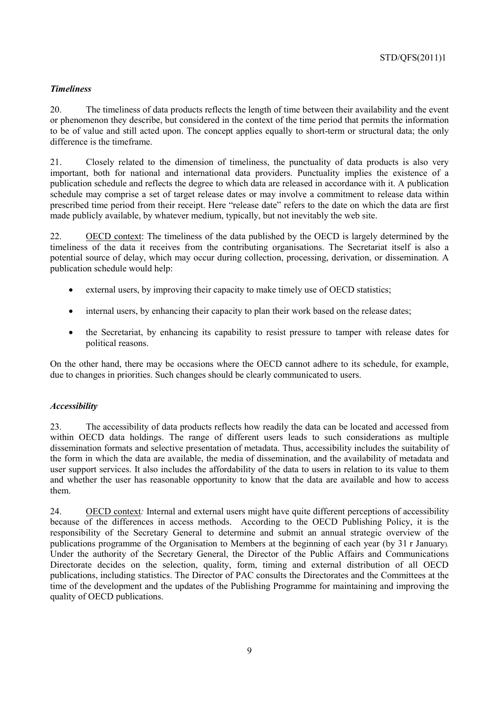## *Timeliness*

20. The timeliness of data products reflects the length of time between their availability and the event or phenomenon they describe, but considered in the context of the time period that permits the information to be of value and still acted upon. The concept applies equally to short-term or structural data; the only difference is the timeframe.

21. Closely related to the dimension of timeliness, the punctuality of data products is also very important, both for national and international data providers. Punctuality implies the existence of a publication schedule and reflects the degree to which data are released in accordance with it. A publication schedule may comprise a set of target release dates or may involve a commitment to release data within prescribed time period from their receipt. Here "release date" refers to the date on which the data are first made publicly available, by whatever medium, typically, but not inevitably the web site.

22. OECD context: The timeliness of the data published by the OECD is largely determined by the timeliness of the data it receives from the contributing organisations. The Secretariat itself is also a potential source of delay, which may occur during collection, processing, derivation, or dissemination. A publication schedule would help:

- external users, by improving their capacity to make timely use of OECD statistics;
- internal users, by enhancing their capacity to plan their work based on the release dates;
- the Secretariat, by enhancing its capability to resist pressure to tamper with release dates for political reasons.

On the other hand, there may be occasions where the OECD cannot adhere to its schedule, for example, due to changes in priorities. Such changes should be clearly communicated to users.

#### *Accessibility*

23. The accessibility of data products reflects how readily the data can be located and accessed from within OECD data holdings. The range of different users leads to such considerations as multiple dissemination formats and selective presentation of metadata. Thus, accessibility includes the suitability of the form in which the data are available, the media of dissemination, and the availability of metadata and user support services. It also includes the affordability of the data to users in relation to its value to them and whether the user has reasonable opportunity to know that the data are available and how to access them.

24. OECD context*:* Internal and external users might have quite different perceptions of accessibility because of the differences in access methods. According to the OECD Publishing Policy, it is the responsibility of the Secretary General to determine and submit an annual strategic overview of the publications programme of the Organisation to Members at the beginning of each year (by 31 r January). Under the authority of the Secretary General, the Director of the Public Affairs and Communications Directorate decides on the selection, quality, form, timing and external distribution of all OECD publications, including statistics. The Director of PAC consults the Directorates and the Committees at the time of the development and the updates of the Publishing Programme for maintaining and improving the quality of OECD publications.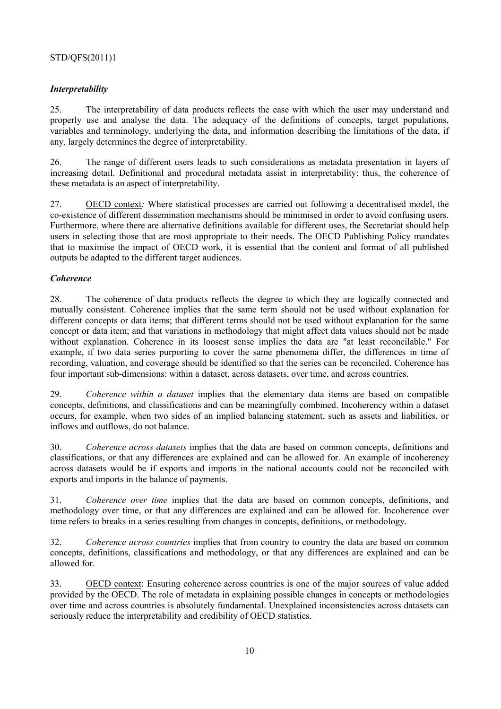### *Interpretability*

25. The interpretability of data products reflects the ease with which the user may understand and properly use and analyse the data. The adequacy of the definitions of concepts, target populations, variables and terminology, underlying the data, and information describing the limitations of the data, if any, largely determines the degree of interpretability.

26. The range of different users leads to such considerations as metadata presentation in layers of increasing detail. Definitional and procedural metadata assist in interpretability: thus, the coherence of these metadata is an aspect of interpretability.

27. OECD context*:* Where statistical processes are carried out following a decentralised model, the co-existence of different dissemination mechanisms should be minimised in order to avoid confusing users. Furthermore, where there are alternative definitions available for different uses, the Secretariat should help users in selecting those that are most appropriate to their needs. The OECD Publishing Policy mandates that to maximise the impact of OECD work, it is essential that the content and format of all published outputs be adapted to the different target audiences.

### *Coherence*

28. The coherence of data products reflects the degree to which they are logically connected and mutually consistent. Coherence implies that the same term should not be used without explanation for different concepts or data items; that different terms should not be used without explanation for the same concept or data item; and that variations in methodology that might affect data values should not be made without explanation. Coherence in its loosest sense implies the data are "at least reconcilable." For example, if two data series purporting to cover the same phenomena differ, the differences in time of recording, valuation, and coverage should be identified so that the series can be reconciled. Coherence has four important sub-dimensions: within a dataset, across datasets, over time, and across countries.

29. *Coherence within a dataset* implies that the elementary data items are based on compatible concepts, definitions, and classifications and can be meaningfully combined. Incoherency within a dataset occurs, for example, when two sides of an implied balancing statement, such as assets and liabilities, or inflows and outflows, do not balance.

30. *Coherence across datasets* implies that the data are based on common concepts, definitions and classifications, or that any differences are explained and can be allowed for. An example of incoherency across datasets would be if exports and imports in the national accounts could not be reconciled with exports and imports in the balance of payments.

31. *Coherence over time* implies that the data are based on common concepts, definitions, and methodology over time, or that any differences are explained and can be allowed for. Incoherence over time refers to breaks in a series resulting from changes in concepts, definitions, or methodology.

32. *Coherence across countries* implies that from country to country the data are based on common concepts, definitions, classifications and methodology, or that any differences are explained and can be allowed for.

33. OECD context: Ensuring coherence across countries is one of the major sources of value added provided by the OECD. The role of metadata in explaining possible changes in concepts or methodologies over time and across countries is absolutely fundamental. Unexplained inconsistencies across datasets can seriously reduce the interpretability and credibility of OECD statistics.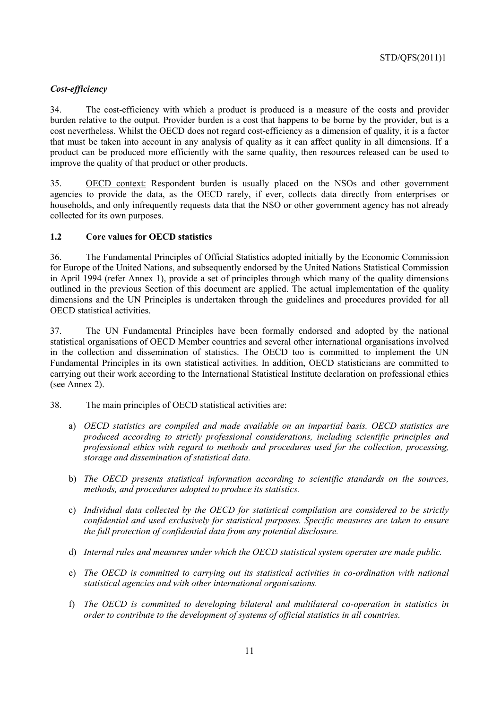## *Cost-efficiency*

34. The cost-efficiency with which a product is produced is a measure of the costs and provider burden relative to the output. Provider burden is a cost that happens to be borne by the provider, but is a cost nevertheless. Whilst the OECD does not regard cost-efficiency as a dimension of quality, it is a factor that must be taken into account in any analysis of quality as it can affect quality in all dimensions. If a product can be produced more efficiently with the same quality, then resources released can be used to improve the quality of that product or other products.

35. OECD context: Respondent burden is usually placed on the NSOs and other government agencies to provide the data, as the OECD rarely, if ever, collects data directly from enterprises or households, and only infrequently requests data that the NSO or other government agency has not already collected for its own purposes.

#### **1.2 Core values for OECD statistics**

36. The Fundamental Principles of Official Statistics adopted initially by the Economic Commission for Europe of the United Nations, and subsequently endorsed by the United Nations Statistical Commission in April 1994 (refer Annex 1), provide a set of principles through which many of the quality dimensions outlined in the previous Section of this document are applied. The actual implementation of the quality dimensions and the UN Principles is undertaken through the guidelines and procedures provided for all OECD statistical activities.

37. The UN Fundamental Principles have been formally endorsed and adopted by the national statistical organisations of OECD Member countries and several other international organisations involved in the collection and dissemination of statistics. The OECD too is committed to implement the UN Fundamental Principles in its own statistical activities. In addition, OECD statisticians are committed to carrying out their work according to the International Statistical Institute declaration on professional ethics (see Annex 2).

- 38. The main principles of OECD statistical activities are:
	- a) *OECD statistics are compiled and made available on an impartial basis. OECD statistics are produced according to strictly professional considerations, including scientific principles and professional ethics with regard to methods and procedures used for the collection, processing, storage and dissemination of statistical data.*
	- b) *The OECD presents statistical information according to scientific standards on the sources, methods, and procedures adopted to produce its statistics.*
	- c) *Individual data collected by the OECD for statistical compilation are considered to be strictly confidential and used exclusively for statistical purposes. Specific measures are taken to ensure the full protection of confidential data from any potential disclosure.*
	- d) *Internal rules and measures under which the OECD statistical system operates are made public.*
	- e) *The OECD is committed to carrying out its statistical activities in co-ordination with national statistical agencies and with other international organisations.*
	- f) *The OECD is committed to developing bilateral and multilateral co-operation in statistics in order to contribute to the development of systems of official statistics in all countries.*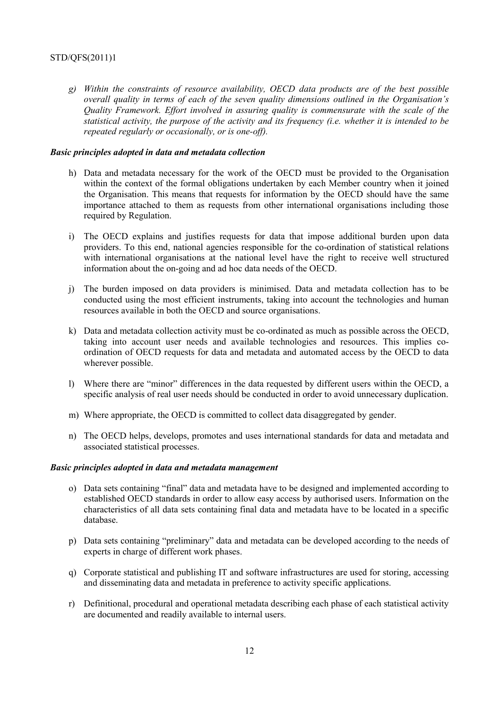*g) Within the constraints of resource availability, OECD data products are of the best possible overall quality in terms of each of the seven quality dimensions outlined in the Organisation's Quality Framework. Effort involved in assuring quality is commensurate with the scale of the statistical activity, the purpose of the activity and its frequency (i.e. whether it is intended to be repeated regularly or occasionally, or is one-off).* 

#### *Basic principles adopted in data and metadata collection*

- h) Data and metadata necessary for the work of the OECD must be provided to the Organisation within the context of the formal obligations undertaken by each Member country when it joined the Organisation. This means that requests for information by the OECD should have the same importance attached to them as requests from other international organisations including those required by Regulation.
- i) The OECD explains and justifies requests for data that impose additional burden upon data providers. To this end, national agencies responsible for the co-ordination of statistical relations with international organisations at the national level have the right to receive well structured information about the on-going and ad hoc data needs of the OECD.
- j) The burden imposed on data providers is minimised. Data and metadata collection has to be conducted using the most efficient instruments, taking into account the technologies and human resources available in both the OECD and source organisations.
- k) Data and metadata collection activity must be co-ordinated as much as possible across the OECD, taking into account user needs and available technologies and resources. This implies coordination of OECD requests for data and metadata and automated access by the OECD to data wherever possible.
- l) Where there are "minor" differences in the data requested by different users within the OECD, a specific analysis of real user needs should be conducted in order to avoid unnecessary duplication.
- m) Where appropriate, the OECD is committed to collect data disaggregated by gender.
- n) The OECD helps, develops, promotes and uses international standards for data and metadata and associated statistical processes.

#### *Basic principles adopted in data and metadata management*

- o) Data sets containing "final" data and metadata have to be designed and implemented according to established OECD standards in order to allow easy access by authorised users. Information on the characteristics of all data sets containing final data and metadata have to be located in a specific database.
- p) Data sets containing "preliminary" data and metadata can be developed according to the needs of experts in charge of different work phases.
- q) Corporate statistical and publishing IT and software infrastructures are used for storing, accessing and disseminating data and metadata in preference to activity specific applications.
- r) Definitional, procedural and operational metadata describing each phase of each statistical activity are documented and readily available to internal users.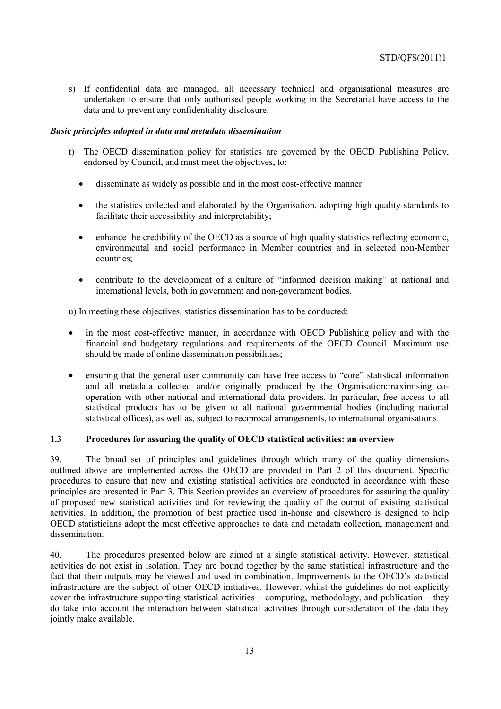s) If confidential data are managed, all necessary technical and organisational measures are undertaken to ensure that only authorised people working in the Secretariat have access to the data and to prevent any confidentiality disclosure.

#### *Basic principles adopted in data and metadata dissemination*

- t) The OECD dissemination policy for statistics are governed by the OECD Publishing Policy, endorsed by Council, and must meet the objectives, to:
	- disseminate as widely as possible and in the most cost-effective manner
	- the statistics collected and elaborated by the Organisation, adopting high quality standards to facilitate their accessibility and interpretability;
	- enhance the credibility of the OECD as a source of high quality statistics reflecting economic, environmental and social performance in Member countries and in selected non-Member countries;
	- contribute to the development of a culture of "informed decision making" at national and international levels, both in government and non-government bodies.

u) In meeting these objectives, statistics dissemination has to be conducted:

- in the most cost-effective manner, in accordance with OECD Publishing policy and with the financial and budgetary regulations and requirements of the OECD Council. Maximum use should be made of online dissemination possibilities;
- ensuring that the general user community can have free access to "core" statistical information and all metadata collected and/or originally produced by the Organisation;maximising cooperation with other national and international data providers. In particular, free access to all statistical products has to be given to all national governmental bodies (including national statistical offices), as well as, subject to reciprocal arrangements, to international organisations.

## **1.3 Procedures for assuring the quality of OECD statistical activities: an overview**

39. The broad set of principles and guidelines through which many of the quality dimensions outlined above are implemented across the OECD are provided in Part 2 of this document. Specific procedures to ensure that new and existing statistical activities are conducted in accordance with these principles are presented in Part 3. This Section provides an overview of procedures for assuring the quality of proposed new statistical activities and for reviewing the quality of the output of existing statistical activities. In addition, the promotion of best practice used in-house and elsewhere is designed to help OECD statisticians adopt the most effective approaches to data and metadata collection, management and dissemination.

40. The procedures presented below are aimed at a single statistical activity. However, statistical activities do not exist in isolation. They are bound together by the same statistical infrastructure and the fact that their outputs may be viewed and used in combination. Improvements to the OECD's statistical infrastructure are the subject of other OECD initiatives. However, whilst the guidelines do not explicitly cover the infrastructure supporting statistical activities – computing, methodology, and publication – they do take into account the interaction between statistical activities through consideration of the data they jointly make available.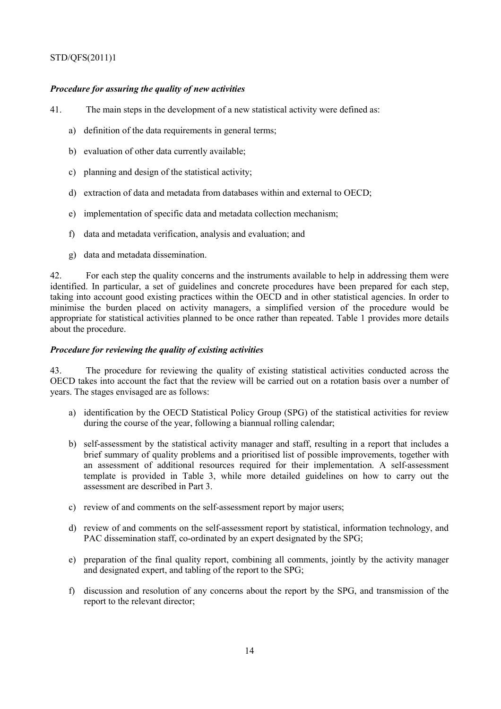### *Procedure for assuring the quality of new activities*

41. The main steps in the development of a new statistical activity were defined as:

- a) definition of the data requirements in general terms;
- b) evaluation of other data currently available;
- c) planning and design of the statistical activity;
- d) extraction of data and metadata from databases within and external to OECD;
- e) implementation of specific data and metadata collection mechanism;
- f) data and metadata verification, analysis and evaluation; and
- g) data and metadata dissemination.

42. For each step the quality concerns and the instruments available to help in addressing them were identified. In particular, a set of guidelines and concrete procedures have been prepared for each step, taking into account good existing practices within the OECD and in other statistical agencies. In order to minimise the burden placed on activity managers, a simplified version of the procedure would be appropriate for statistical activities planned to be once rather than repeated. Table 1 provides more details about the procedure.

### *Procedure for reviewing the quality of existing activities*

43. The procedure for reviewing the quality of existing statistical activities conducted across the OECD takes into account the fact that the review will be carried out on a rotation basis over a number of years. The stages envisaged are as follows:

- a) identification by the OECD Statistical Policy Group (SPG) of the statistical activities for review during the course of the year, following a biannual rolling calendar;
- b) self-assessment by the statistical activity manager and staff, resulting in a report that includes a brief summary of quality problems and a prioritised list of possible improvements, together with an assessment of additional resources required for their implementation. A self-assessment template is provided in Table 3, while more detailed guidelines on how to carry out the assessment are described in Part 3.
- c) review of and comments on the self-assessment report by major users;
- d) review of and comments on the self-assessment report by statistical, information technology, and PAC dissemination staff, co-ordinated by an expert designated by the SPG;
- e) preparation of the final quality report, combining all comments, jointly by the activity manager and designated expert, and tabling of the report to the SPG;
- f) discussion and resolution of any concerns about the report by the SPG, and transmission of the report to the relevant director;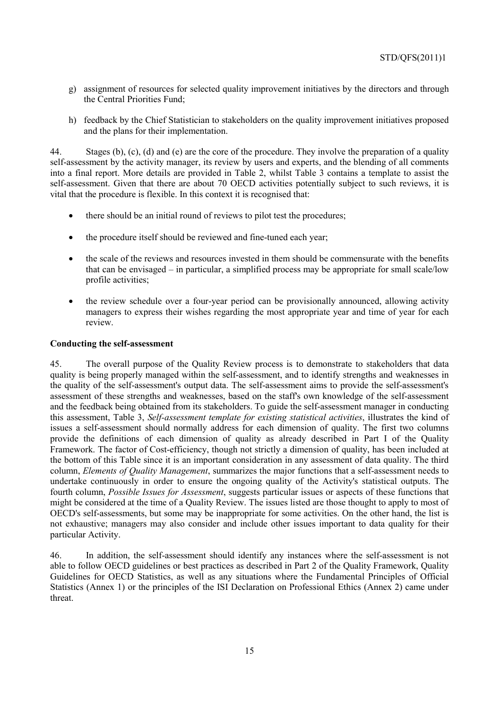- g) assignment of resources for selected quality improvement initiatives by the directors and through the Central Priorities Fund;
- h) feedback by the Chief Statistician to stakeholders on the quality improvement initiatives proposed and the plans for their implementation.

44. Stages (b), (c), (d) and (e) are the core of the procedure. They involve the preparation of a quality self-assessment by the activity manager, its review by users and experts, and the blending of all comments into a final report. More details are provided in Table 2, whilst Table 3 contains a template to assist the self-assessment. Given that there are about 70 OECD activities potentially subject to such reviews, it is vital that the procedure is flexible. In this context it is recognised that:

- there should be an initial round of reviews to pilot test the procedures;
- the procedure itself should be reviewed and fine-tuned each year;
- the scale of the reviews and resources invested in them should be commensurate with the benefits that can be envisaged – in particular, a simplified process may be appropriate for small scale/low profile activities;
- the review schedule over a four-year period can be provisionally announced, allowing activity managers to express their wishes regarding the most appropriate year and time of year for each review.

### **Conducting the self-assessment**

45. The overall purpose of the Quality Review process is to demonstrate to stakeholders that data quality is being properly managed within the self-assessment, and to identify strengths and weaknesses in the quality of the self-assessment's output data. The self-assessment aims to provide the self-assessment's assessment of these strengths and weaknesses, based on the staff's own knowledge of the self-assessment and the feedback being obtained from its stakeholders. To guide the self-assessment manager in conducting this assessment, Table 3, *Self-assessment template for existing statistical activities*, illustrates the kind of issues a self-assessment should normally address for each dimension of quality. The first two columns provide the definitions of each dimension of quality as already described in Part I of the Quality Framework. The factor of Cost-efficiency, though not strictly a dimension of quality, has been included at the bottom of this Table since it is an important consideration in any assessment of data quality. The third column, *Elements of Quality Management*, summarizes the major functions that a self-assessment needs to undertake continuously in order to ensure the ongoing quality of the Activity's statistical outputs. The fourth column, *Possible Issues for Assessment*, suggests particular issues or aspects of these functions that might be considered at the time of a Quality Review. The issues listed are those thought to apply to most of OECD's self-assessments, but some may be inappropriate for some activities. On the other hand, the list is not exhaustive; managers may also consider and include other issues important to data quality for their particular Activity.

46. In addition, the self-assessment should identify any instances where the self-assessment is not able to follow OECD guidelines or best practices as described in Part 2 of the Quality Framework, Quality Guidelines for OECD Statistics, as well as any situations where the Fundamental Principles of Official Statistics (Annex 1) or the principles of the ISI Declaration on Professional Ethics (Annex 2) came under threat.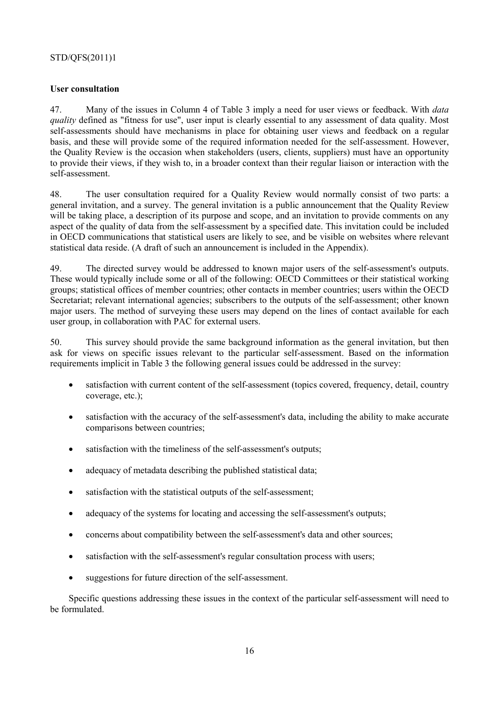#### **User consultation**

47. Many of the issues in Column 4 of Table 3 imply a need for user views or feedback. With *data quality* defined as "fitness for use", user input is clearly essential to any assessment of data quality. Most self-assessments should have mechanisms in place for obtaining user views and feedback on a regular basis, and these will provide some of the required information needed for the self-assessment. However, the Quality Review is the occasion when stakeholders (users, clients, suppliers) must have an opportunity to provide their views, if they wish to, in a broader context than their regular liaison or interaction with the self-assessment.

48. The user consultation required for a Quality Review would normally consist of two parts: a general invitation, and a survey. The general invitation is a public announcement that the Quality Review will be taking place, a description of its purpose and scope, and an invitation to provide comments on any aspect of the quality of data from the self-assessment by a specified date. This invitation could be included in OECD communications that statistical users are likely to see, and be visible on websites where relevant statistical data reside. (A draft of such an announcement is included in the Appendix).

49. The directed survey would be addressed to known major users of the self-assessment's outputs. These would typically include some or all of the following: OECD Committees or their statistical working groups; statistical offices of member countries; other contacts in member countries; users within the OECD Secretariat; relevant international agencies; subscribers to the outputs of the self-assessment; other known major users. The method of surveying these users may depend on the lines of contact available for each user group, in collaboration with PAC for external users.

50. This survey should provide the same background information as the general invitation, but then ask for views on specific issues relevant to the particular self-assessment. Based on the information requirements implicit in Table 3 the following general issues could be addressed in the survey:

- satisfaction with current content of the self-assessment (topics covered, frequency, detail, country coverage, etc.);
- satisfaction with the accuracy of the self-assessment's data, including the ability to make accurate comparisons between countries;
- satisfaction with the timeliness of the self-assessment's outputs;
- adequacy of metadata describing the published statistical data;
- satisfaction with the statistical outputs of the self-assessment;
- adequacy of the systems for locating and accessing the self-assessment's outputs;
- concerns about compatibility between the self-assessment's data and other sources;
- satisfaction with the self-assessment's regular consultation process with users;
- suggestions for future direction of the self-assessment.

Specific questions addressing these issues in the context of the particular self-assessment will need to be formulated.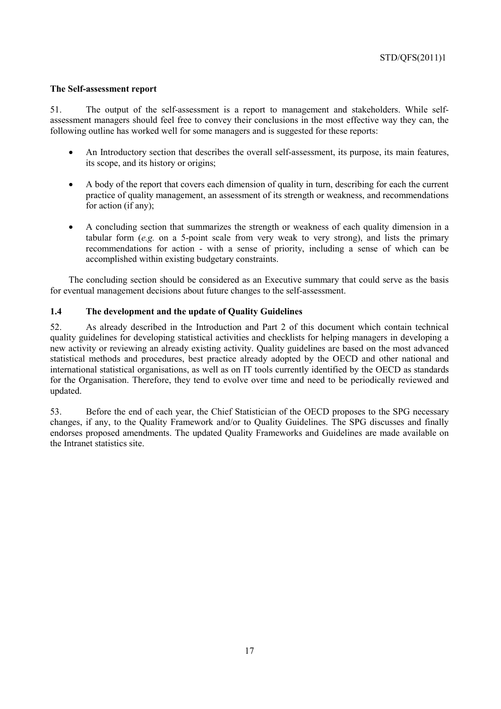#### **The Self-assessment report**

51. The output of the self-assessment is a report to management and stakeholders. While selfassessment managers should feel free to convey their conclusions in the most effective way they can, the following outline has worked well for some managers and is suggested for these reports:

- An Introductory section that describes the overall self-assessment, its purpose, its main features, its scope, and its history or origins;
- A body of the report that covers each dimension of quality in turn, describing for each the current practice of quality management, an assessment of its strength or weakness, and recommendations for action (if any);
- A concluding section that summarizes the strength or weakness of each quality dimension in a tabular form (*e.g.* on a 5-point scale from very weak to very strong), and lists the primary recommendations for action - with a sense of priority, including a sense of which can be accomplished within existing budgetary constraints.

The concluding section should be considered as an Executive summary that could serve as the basis for eventual management decisions about future changes to the self-assessment.

## **1.4 The development and the update of Quality Guidelines**

52. As already described in the Introduction and Part 2 of this document which contain technical quality guidelines for developing statistical activities and checklists for helping managers in developing a new activity or reviewing an already existing activity. Quality guidelines are based on the most advanced statistical methods and procedures, best practice already adopted by the OECD and other national and international statistical organisations, as well as on IT tools currently identified by the OECD as standards for the Organisation. Therefore, they tend to evolve over time and need to be periodically reviewed and updated.

53. Before the end of each year, the Chief Statistician of the OECD proposes to the SPG necessary changes, if any, to the Quality Framework and/or to Quality Guidelines. The SPG discusses and finally endorses proposed amendments. The updated Quality Frameworks and Guidelines are made available on the Intranet statistics site.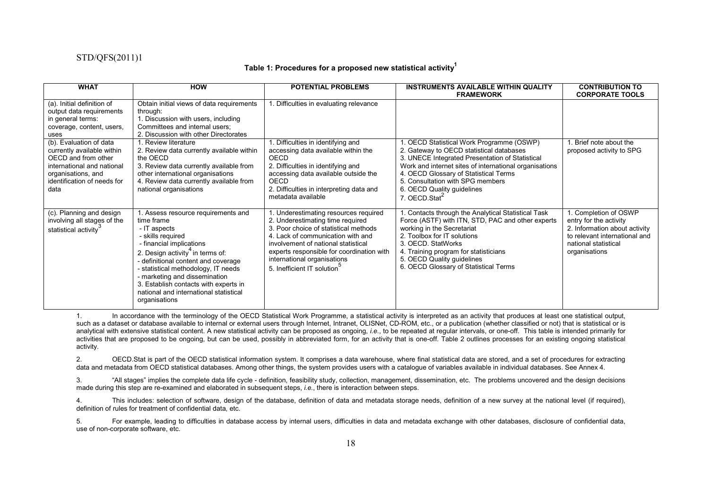#### **Table 1: Procedures for a proposed new statistical activity<sup>1</sup>**

| <b>WHAT</b>                                                                                                                                                             | <b>HOW</b>                                                                                                                                                                                                                                                                                                                                                                           | <b>POTENTIAL PROBLEMS</b>                                                                                                                                                                                                                                                                                            | <b>INSTRUMENTS AVAILABLE WITHIN QUALITY</b><br><b>FRAMEWORK</b>                                                                                                                                                                                                                                                                            | <b>CONTRIBUTION TO</b><br><b>CORPORATE TOOLS</b>                                                                                                           |
|-------------------------------------------------------------------------------------------------------------------------------------------------------------------------|--------------------------------------------------------------------------------------------------------------------------------------------------------------------------------------------------------------------------------------------------------------------------------------------------------------------------------------------------------------------------------------|----------------------------------------------------------------------------------------------------------------------------------------------------------------------------------------------------------------------------------------------------------------------------------------------------------------------|--------------------------------------------------------------------------------------------------------------------------------------------------------------------------------------------------------------------------------------------------------------------------------------------------------------------------------------------|------------------------------------------------------------------------------------------------------------------------------------------------------------|
| (a). Initial definition of<br>output data requirements<br>in general terms:<br>coverage, content, users,<br>uses                                                        | Obtain initial views of data requirements<br>through:<br>1. Discussion with users, including<br>Committees and internal users;<br>2. Discussion with other Directorates                                                                                                                                                                                                              | . Difficulties in evaluating relevance                                                                                                                                                                                                                                                                               |                                                                                                                                                                                                                                                                                                                                            |                                                                                                                                                            |
| (b). Evaluation of data<br>currently available within<br>OECD and from other<br>international and national<br>organisations, and<br>identification of needs for<br>data | . Review literature<br>2. Review data currently available within<br>the OECD<br>3. Review data currently available from<br>other international organisations<br>4. Review data currently available from<br>national organisations                                                                                                                                                    | 1. Difficulties in identifying and<br>accessing data available within the<br>OECD<br>2. Difficulties in identifying and<br>accessing data available outside the<br><b>OECD</b><br>2. Difficulties in interpreting data and<br>metadata available                                                                     | 1. OECD Statistical Work Programme (OSWP)<br>2. Gateway to OECD statistical databases<br>3. UNECE Integrated Presentation of Statistical<br>Work and internet sites of international organisations<br>4. OECD Glossary of Statistical Terms<br>5. Consultation with SPG members<br>6. OECD Quality guidelines<br>7. OECD.Stat <sup>2</sup> | I. Brief note about the<br>proposed activity to SPG                                                                                                        |
| (c). Planning and design<br>involving all stages of the<br>statistical activity                                                                                         | . Assess resource requirements and<br>time frame<br>- IT aspects<br>- skills required<br>- financial implications<br>2. Design activity <sup>4</sup> in terms of:<br>- definitional content and coverage<br>- statistical methodology, IT needs<br>- marketing and dissemination<br>3. Establish contacts with experts in<br>national and international statistical<br>organisations | . Underestimating resources required<br>2. Underestimating time required<br>3. Poor choice of statistical methods<br>4. Lack of communication with and<br>involvement of national statistical<br>experts responsible for coordination with<br>international organisations<br>5. Inefficient IT solution <sup>3</sup> | 1. Contacts through the Analytical Statistical Task<br>Force (ASTF) with ITN, STD, PAC and other experts<br>working in the Secretariat<br>2. Toolbox for IT solutions<br>3. OECD. StatWorks<br>4. Training program for statisticians<br>5. OECD Quality guidelines<br>6. OECD Glossary of Statistical Terms                                | 1. Completion of OSWP<br>entry for the activity<br>2. Information about activity<br>to relevant international and<br>national statistical<br>organisations |

1. In accordance with the terminology of the OECD Statistical Work Programme, a statistical activity is interpreted as an activity that produces at least one statistical output, such as a dataset or database available to internal or external users through Internet, Intranet, OLISNet, CD-ROM, etc., or a publication (whether classified or not) that is statistical or is analytical with extensive statistical content. A new statistical activity can be proposed as ongoing, *i.e.*, to be repeated at regular intervals, or one-off. This table is intended primarily for activities that are proposed to be ongoing, but can be used, possibly in abbreviated form, for an activity that is one-off. Table 2 outlines processes for an existing ongoing statistical activity.

2. OECD.Stat is part of the OECD statistical information system. It comprises a data warehouse, where final statistical data are stored, and a set of procedures for extracting data and metadata from OECD statistical databases. Among other things, the system provides users with a catalogue of variables available in individual databases. See Annex 4.

3. "All stages" implies the complete data life cycle - definition, feasibility study, collection, management, dissemination, etc. The problems uncovered and the design decisions made during this step are re-examined and elaborated in subsequent steps, *i.e.*, there is interaction between steps.

4. This includes: selection of software, design of the database, definition of data and metadata storage needs, definition of a new survey at the national level (if required), definition of rules for treatment of confidential data, etc.

5. For example, leading to difficulties in database access by internal users, difficulties in data and metadata exchange with other databases, disclosure of confidential data, use of non-corporate software, etc.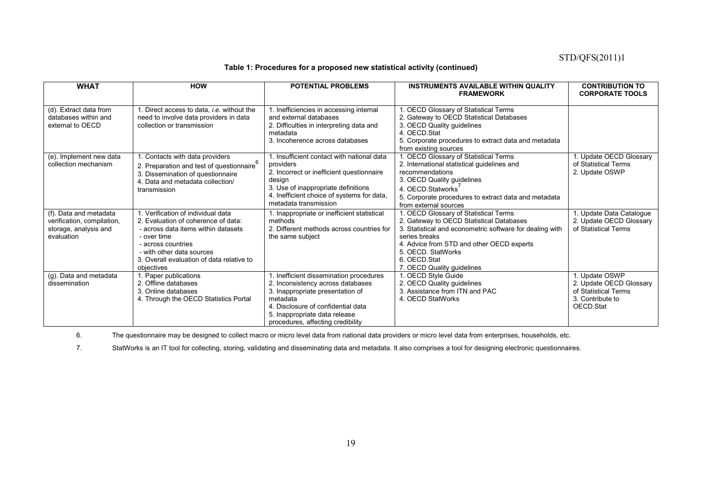#### **Table 1: Procedures for a proposed new statistical activity (continued)**

| <b>WHAT</b>                                                                                 | <b>HOW</b>                                                                                                                                                                                                                                    | <b>POTENTIAL PROBLEMS</b>                                                                                                                                                                                                                | <b>INSTRUMENTS AVAILABLE WITHIN QUALITY</b><br><b>FRAMEWORK</b>                                                                                                                                                                                                                 | <b>CONTRIBUTION TO</b><br><b>CORPORATE TOOLS</b>                                                  |
|---------------------------------------------------------------------------------------------|-----------------------------------------------------------------------------------------------------------------------------------------------------------------------------------------------------------------------------------------------|------------------------------------------------------------------------------------------------------------------------------------------------------------------------------------------------------------------------------------------|---------------------------------------------------------------------------------------------------------------------------------------------------------------------------------------------------------------------------------------------------------------------------------|---------------------------------------------------------------------------------------------------|
| (d). Extract data from<br>databases within and<br>external to OECD                          | 1. Direct access to data, <i>i.e.</i> without the<br>need to involve data providers in data<br>collection or transmission                                                                                                                     | 1. Inefficiencies in accessing internal<br>and external databases<br>2. Difficulties in interpreting data and<br>metadata<br>3. Incoherence across databases                                                                             | . OECD Glossary of Statistical Terms<br>2. Gateway to OECD Statistical Databases<br>3. OECD Quality guidelines<br>4. OECD Stat<br>5. Corporate procedures to extract data and metadata<br>from existing sources                                                                 |                                                                                                   |
| (e). Implement new data<br>collection mechanism                                             | 1. Contacts with data providers<br>2. Preparation and test of questionnaire <sup>6</sup><br>3. Dissemination of questionnaire<br>4. Data and metadata collection/<br>transmission                                                             | 1. Insufficient contact with national data<br>providers<br>2. Incorrect or inefficient questionnaire<br>design<br>3. Use of inappropriate definitions<br>4. Inefficient choice of systems for data,<br>metadata transmission             | 1. OECD Glossary of Statistical Terms<br>2. International statistical guidelines and<br>recommendations<br>3. OECD Quality guidelines<br>4. OECD Statworks<br>5. Corporate procedures to extract data and metadata<br>from external sources                                     | Update OECD Glossary<br>of Statistical Terms<br>2. Update OSWP                                    |
| (f). Data and metadata<br>verification, compilation,<br>storage, analysis and<br>evaluation | 1. Verification of individual data<br>2. Evaluation of coherence of data:<br>- across data items within datasets<br>- over time<br>- across countries<br>- with other data sources<br>3. Overall evaluation of data relative to<br>objectives | 1. Inappropriate or inefficient statistical<br>methods<br>2. Different methods across countries for<br>the same subject                                                                                                                  | 1. OECD Glossary of Statistical Terms<br>2. Gateway to OECD Statistical Databases<br>3. Statistical and econometric software for dealing with<br>series breaks<br>4. Advice from STD and other OECD experts<br>5. OECD. StatWorks<br>6. OECD.Stat<br>7. OECD Quality guidelines | Update Data Catalogue<br>2. Update OECD Glossary<br>of Statistical Terms                          |
| (g). Data and metadata<br>dissemination                                                     | 1. Paper publications<br>2. Offline databases<br>3. Online databases<br>4. Through the OECD Statistics Portal                                                                                                                                 | 1. Inefficient dissemination procedures<br>2. Inconsistency across databases<br>3. Inappropriate presentation of<br>metadata<br>4. Disclosure of confidential data<br>5. Inappropriate data release<br>procedures, affecting credibility | 1. OECD Style Guide<br>2. OECD Quality guidelines<br>3. Assistance from ITN and PAC<br>4. OECD StatWorks                                                                                                                                                                        | . Update OSWP<br>2. Update OECD Glossary<br>of Statistical Terms<br>3. Contribute to<br>OECD.Stat |

6. The questionnaire may be designed to collect macro or micro level data from national data providers or micro level data from enterprises, households, etc.

7. StatWorks is an IT tool for collecting, storing, validating and disseminating data and metadata. It also comprises a tool for designing electronic questionnaires.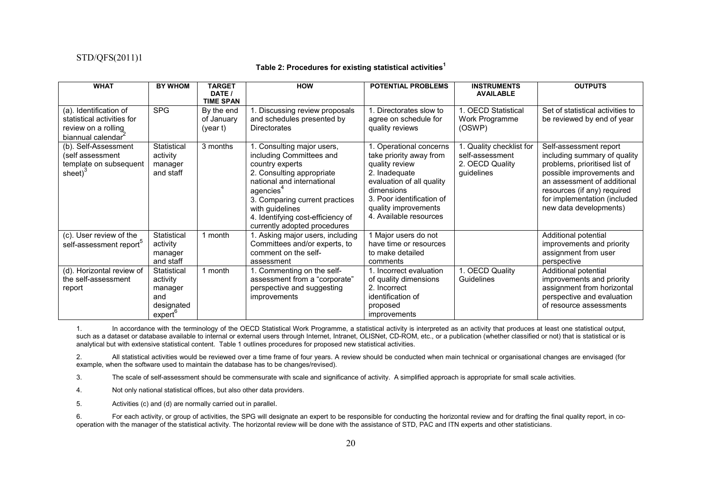#### **Table 2: Procedures for existing statistical activities<sup>1</sup>**

| <b>WHAT</b>                                                                                                   | <b>BY WHOM</b>                                                                | <b>TARGET</b><br>DATE /                                  | <b>HOW</b>                                                                                                                                                                                                                                                                              | <b>POTENTIAL PROBLEMS</b>                                                                                                                                                                                       | <b>INSTRUMENTS</b><br><b>AVAILABLE</b>                                       | <b>OUTPUTS</b>                                                                                                                                                                                                                               |
|---------------------------------------------------------------------------------------------------------------|-------------------------------------------------------------------------------|----------------------------------------------------------|-----------------------------------------------------------------------------------------------------------------------------------------------------------------------------------------------------------------------------------------------------------------------------------------|-----------------------------------------------------------------------------------------------------------------------------------------------------------------------------------------------------------------|------------------------------------------------------------------------------|----------------------------------------------------------------------------------------------------------------------------------------------------------------------------------------------------------------------------------------------|
| (a). Identification of<br>statistical activities for<br>review on a rolling<br>biannual calendar <sup>2</sup> | <b>SPG</b>                                                                    | <b>TIME SPAN</b><br>By the end<br>of January<br>(year t) | 1. Discussing review proposals<br>and schedules presented by<br><b>Directorates</b>                                                                                                                                                                                                     | Directorates slow to<br>agree on schedule for<br>quality reviews                                                                                                                                                | 1. OECD Statistical<br>Work Programme<br>(OSWP)                              | Set of statistical activities to<br>be reviewed by end of year                                                                                                                                                                               |
| (b). Self-Assessment<br>(self assessment<br>template on subsequent<br>sheet) $3$                              | Statistical<br>activity<br>manager<br>and staff                               | 3 months                                                 | 1. Consulting major users,<br>including Committees and<br>country experts<br>2. Consulting appropriate<br>national and international<br>agencies <sup>4</sup><br>3. Comparing current practices<br>with quidelines<br>4. Identifying cost-efficiency of<br>currently adopted procedures | 1. Operational concerns<br>take priority away from<br>quality review<br>2. Inadequate<br>evaluation of all quality<br>dimensions<br>3. Poor identification of<br>quality improvements<br>4. Available resources | 1. Quality checklist for<br>self-assessment<br>2. OECD Quality<br>guidelines | Self-assessment report<br>including summary of quality<br>problems, prioritised list of<br>possible improvements and<br>an assessment of additional<br>resources (if any) required<br>for implementation (included<br>new data developments) |
| (c). User review of the<br>self-assessment report                                                             | Statistical<br>activity<br>manager<br>and staff                               | 1 month                                                  | 1. Asking major users, including<br>Committees and/or experts, to<br>comment on the self-<br>assessment                                                                                                                                                                                 | 1 Major users do not<br>have time or resources<br>to make detailed<br>comments                                                                                                                                  |                                                                              | Additional potential<br>improvements and priority<br>assignment from user<br>perspective                                                                                                                                                     |
| (d). Horizontal review of<br>the self-assessment<br>report                                                    | Statistical<br>activity<br>manager<br>and<br>designated<br>exper <sup>6</sup> | 1 month                                                  | 1. Commenting on the self-<br>assessment from a "corporate"<br>perspective and suggesting<br>improvements                                                                                                                                                                               | Incorrect evaluation<br>of quality dimensions<br>2. Incorrect<br>identification of<br>proposed<br>improvements                                                                                                  | 1. OECD Quality<br>Guidelines                                                | Additional potential<br>improvements and priority<br>assignment from horizontal<br>perspective and evaluation<br>of resource assessments                                                                                                     |

1. In accordance with the terminology of the OECD Statistical Work Programme, a statistical activity is interpreted as an activity that produces at least one statistical output, such as a dataset or database available to internal or external users through Internet, Intranet, OLISNet, CD-ROM, etc., or a publication (whether classified or not) that is statistical or is analytical but with extensive statistical content. Table 1 outlines procedures for proposed new statistical activities.

2. All statistical activities would be reviewed over a time frame of four years. A review should be conducted when main technical or organisational changes are envisaged (for example, when the software used to maintain the database has to be changes/revised).

3. The scale of self-assessment should be commensurate with scale and significance of activity. A simplified approach is appropriate for small scale activities.

4. Not only national statistical offices, but also other data providers.

5. Activities (c) and (d) are normally carried out in parallel.

6. For each activity, or group of activities, the SPG will designate an expert to be responsible for conducting the horizontal review and for drafting the final quality report, in cooperation with the manager of the statistical activity. The horizontal review will be done with the assistance of STD, PAC and ITN experts and other statisticians.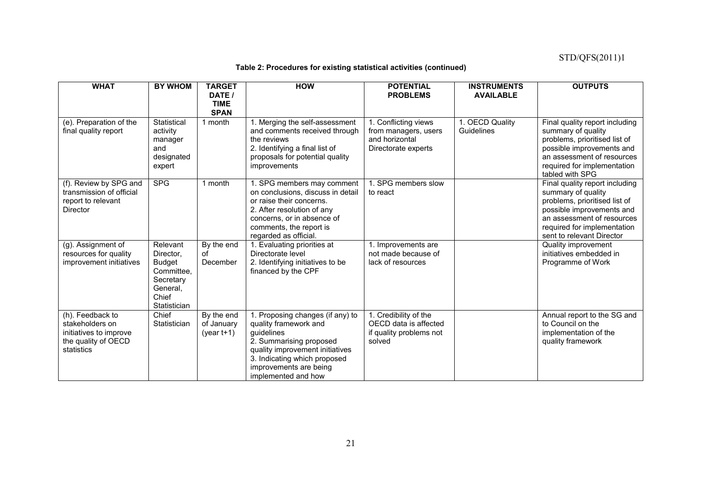### **Table 2: Procedures for existing statistical activities (continued)**

| <b>WHAT</b>                                                                                        | <b>BY WHOM</b>                                                                                         | <b>TARGET</b><br>DATE /<br><b>TIME</b><br><b>SPAN</b> | <b>HOW</b>                                                                                                                                                                                                             | <b>POTENTIAL</b><br><b>PROBLEMS</b>                                                   | <b>INSTRUMENTS</b><br><b>AVAILABLE</b> | <b>OUTPUTS</b>                                                                                                                                                                                               |
|----------------------------------------------------------------------------------------------------|--------------------------------------------------------------------------------------------------------|-------------------------------------------------------|------------------------------------------------------------------------------------------------------------------------------------------------------------------------------------------------------------------------|---------------------------------------------------------------------------------------|----------------------------------------|--------------------------------------------------------------------------------------------------------------------------------------------------------------------------------------------------------------|
| (e). Preparation of the<br>final quality report                                                    | Statistical<br>activity<br>manager<br>and<br>designated<br>expert                                      | 1 month                                               | 1. Merging the self-assessment<br>and comments received through<br>the reviews<br>2. Identifying a final list of<br>proposals for potential quality<br><i>improvements</i>                                             | 1. Conflicting views<br>from managers, users<br>and horizontal<br>Directorate experts | 1. OECD Quality<br>Guidelines          | Final quality report including<br>summary of quality<br>problems, prioritised list of<br>possible improvements and<br>an assessment of resources<br>required for implementation<br>tabled with SPG           |
| (f). Review by SPG and<br>transmission of official<br>report to relevant<br><b>Director</b>        | <b>SPG</b>                                                                                             | 1 month                                               | 1. SPG members may comment<br>on conclusions, discuss in detail<br>or raise their concerns.<br>2. After resolution of any<br>concerns, or in absence of<br>comments, the report is<br>regarded as official.            | 1. SPG members slow<br>to react                                                       |                                        | Final quality report including<br>summary of quality<br>problems, prioritised list of<br>possible improvements and<br>an assessment of resources<br>required for implementation<br>sent to relevant Director |
| (g). Assignment of<br>resources for quality<br>improvement initiatives                             | Relevant<br>Director.<br><b>Budget</b><br>Committee,<br>Secretary<br>General.<br>Chief<br>Statistician | By the end<br>of<br>December                          | 1. Evaluating priorities at<br>Directorate level<br>2. Identifying initiatives to be<br>financed by the CPF                                                                                                            | 1. Improvements are<br>not made because of<br>lack of resources                       |                                        | Quality improvement<br>initiatives embedded in<br>Programme of Work                                                                                                                                          |
| (h). Feedback to<br>stakeholders on<br>initiatives to improve<br>the quality of OECD<br>statistics | Chief<br>Statistician                                                                                  | By the end<br>of January<br>$(year t+1)$              | 1. Proposing changes (if any) to<br>quality framework and<br>guidelines<br>2. Summarising proposed<br>quality improvement initiatives<br>3. Indicating which proposed<br>improvements are being<br>implemented and how | 1. Credibility of the<br>OECD data is affected<br>if quality problems not<br>solved   |                                        | Annual report to the SG and<br>to Council on the<br>implementation of the<br>quality framework                                                                                                               |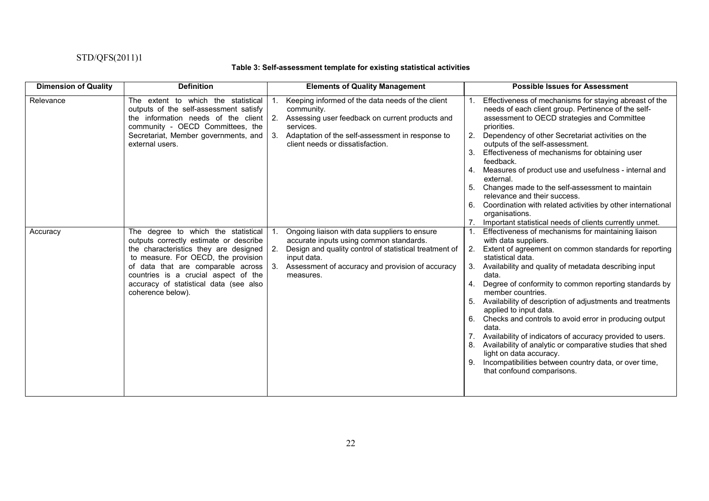### **Table 3: Self-assessment template for existing statistical activities**

| <b>Dimension of Quality</b> | <b>Definition</b>                                                                                                                                                                                                                                                                                                     | <b>Elements of Quality Management</b>                                                                                                                                                                                                    | <b>Possible Issues for Assessment</b>                                                                                                                                                                                                                                                                                                                                                                                                                                                                                                                                                                                                                                                                                                   |
|-----------------------------|-----------------------------------------------------------------------------------------------------------------------------------------------------------------------------------------------------------------------------------------------------------------------------------------------------------------------|------------------------------------------------------------------------------------------------------------------------------------------------------------------------------------------------------------------------------------------|-----------------------------------------------------------------------------------------------------------------------------------------------------------------------------------------------------------------------------------------------------------------------------------------------------------------------------------------------------------------------------------------------------------------------------------------------------------------------------------------------------------------------------------------------------------------------------------------------------------------------------------------------------------------------------------------------------------------------------------------|
| Relevance                   | The extent to which the statistical<br>outputs of the self-assessment satisfy<br>the information needs of the client $\vert$ 2.<br>community - OECD Committees, the<br>Secretariat, Member governments, and<br>external users.                                                                                        | Keeping informed of the data needs of the client<br>community.<br>Assessing user feedback on current products and<br>services.<br>3.<br>Adaptation of the self-assessment in response to<br>client needs or dissatisfaction.             | Effectiveness of mechanisms for staying abreast of the<br>needs of each client group. Pertinence of the self-<br>assessment to OECD strategies and Committee<br>priorities.<br>Dependency of other Secretariat activities on the<br>2.<br>outputs of the self-assessment.<br>Effectiveness of mechanisms for obtaining user<br>3.<br>feedback.<br>Measures of product use and usefulness - internal and<br>4.<br>external.<br>Changes made to the self-assessment to maintain<br>5.<br>relevance and their success.<br>Coordination with related activities by other international<br>6.<br>organisations.<br>Important statistical needs of clients currently unmet.                                                                   |
| Accuracy                    | The degree to which the statistical<br>outputs correctly estimate or describe<br>the characteristics they are designed<br>to measure. For OECD, the provision<br>of data that are comparable across $\vert$ 3.<br>countries is a crucial aspect of the<br>accuracy of statistical data (see also<br>coherence below). | Ongoing liaison with data suppliers to ensure<br>accurate inputs using common standards.<br>Design and quality control of statistical treatment of<br>2.<br>input data.<br>Assessment of accuracy and provision of accuracy<br>measures. | Effectiveness of mechanisms for maintaining liaison<br>with data suppliers.<br>2.<br>Extent of agreement on common standards for reporting<br>statistical data.<br>Availability and quality of metadata describing input<br>data.<br>Degree of conformity to common reporting standards by<br>member countries.<br>Availability of description of adjustments and treatments<br>5.<br>applied to input data.<br>Checks and controls to avoid error in producing output<br>6.<br>data.<br>Availability of indicators of accuracy provided to users.<br>Availability of analytic or comparative studies that shed<br>light on data accuracy.<br>Incompatibilities between country data, or over time,<br>9.<br>that confound comparisons. |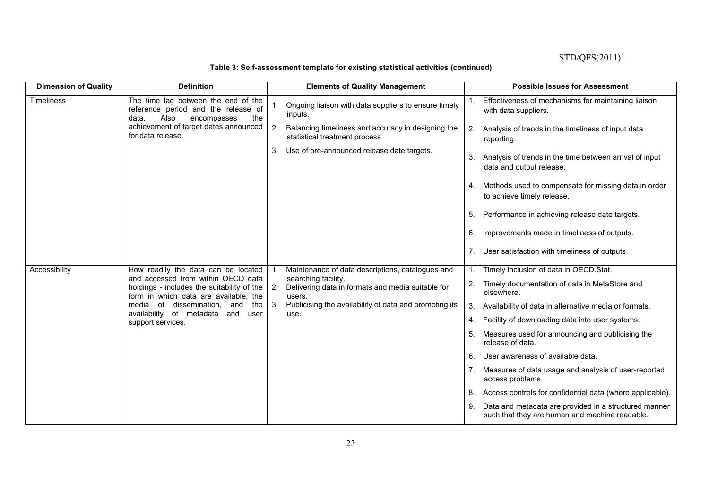## **Table 3: Self-assessment template for existing statistical activities (continued)**

| <b>Dimension of Quality</b> | <b>Definition</b>                                                                                                         | <b>Elements of Quality Management</b>                                                     | <b>Possible Issues for Assessment</b>                                                                   |
|-----------------------------|---------------------------------------------------------------------------------------------------------------------------|-------------------------------------------------------------------------------------------|---------------------------------------------------------------------------------------------------------|
| <b>Timeliness</b>           | The time lag between the end of the<br>reference period and the release of<br>Also<br>data.<br>encompasses<br>the         | Ongoing liaison with data suppliers to ensure timely<br>inputs.                           | Effectiveness of mechanisms for maintaining liaison<br>with data suppliers.                             |
|                             | achievement of target dates announced<br>for data release.                                                                | 2.<br>Balancing timeliness and accuracy in designing the<br>statistical treatment process | 2.<br>Analysis of trends in the timeliness of input data<br>reporting.                                  |
|                             |                                                                                                                           | 3.<br>Use of pre-announced release date targets.                                          | Analysis of trends in the time between arrival of input<br>3.<br>data and output release.               |
|                             |                                                                                                                           |                                                                                           | Methods used to compensate for missing data in order<br>4.<br>to achieve timely release.                |
|                             |                                                                                                                           |                                                                                           | Performance in achieving release date targets.<br>5.                                                    |
|                             |                                                                                                                           |                                                                                           | 6.<br>Improvements made in timeliness of outputs.                                                       |
|                             |                                                                                                                           |                                                                                           | User satisfaction with timeliness of outputs.                                                           |
| Accessibility               | How readily the data can be located                                                                                       | Maintenance of data descriptions, catalogues and                                          | Timely inclusion of data in OECD.Stat.                                                                  |
|                             | and accessed from within OECD data<br>holdings - includes the suitability of the<br>form in which data are available, the | searching facility.<br>2.<br>Delivering data in formats and media suitable for<br>users.  | Timely documentation of data in MetaStore and<br>2.<br>elsewhere.                                       |
|                             | of dissemination, and<br>media<br>the                                                                                     | 3.<br>Publicising the availability of data and promoting its                              | Availability of data in alternative media or formats.<br>3.                                             |
|                             | availability of metadata<br>and<br>user<br>support services.                                                              | use.                                                                                      | Facility of downloading data into user systems.<br>4.                                                   |
|                             |                                                                                                                           |                                                                                           | Measures used for announcing and publicising the<br>5.<br>release of data.                              |
|                             |                                                                                                                           |                                                                                           | User awareness of available data.<br>6.                                                                 |
|                             |                                                                                                                           |                                                                                           | Measures of data usage and analysis of user-reported<br>access problems.                                |
|                             |                                                                                                                           |                                                                                           | Access controls for confidential data (where applicable).<br>8.                                         |
|                             |                                                                                                                           |                                                                                           | Data and metadata are provided in a structured manner<br>such that they are human and machine readable. |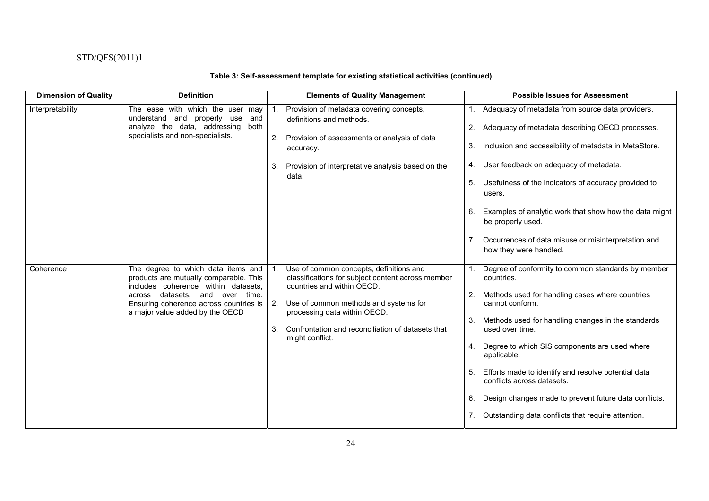### **Table 3: Self-assessment template for existing statistical activities (continued)**

| <b>Dimension of Quality</b> | <b>Definition</b>                                                                                                                                                                                                                   | <b>Elements of Quality Management</b>                                                                                                                                                                                                                                                   | <b>Possible Issues for Assessment</b>                                                                                                                                                                                                                                                                                                                                                                                                                                                                             |
|-----------------------------|-------------------------------------------------------------------------------------------------------------------------------------------------------------------------------------------------------------------------------------|-----------------------------------------------------------------------------------------------------------------------------------------------------------------------------------------------------------------------------------------------------------------------------------------|-------------------------------------------------------------------------------------------------------------------------------------------------------------------------------------------------------------------------------------------------------------------------------------------------------------------------------------------------------------------------------------------------------------------------------------------------------------------------------------------------------------------|
| Interpretability            | The ease with which the user<br>may<br>understand and properly use<br>and<br>analyze the data, addressing<br>both<br>specialists and non-specialists.                                                                               | Provision of metadata covering concepts,<br>definitions and methods.<br>2.<br>Provision of assessments or analysis of data<br>accuracy.                                                                                                                                                 | Adequacy of metadata from source data providers.<br>Adequacy of metadata describing OECD processes.<br>2.<br>Inclusion and accessibility of metadata in MetaStore.<br>3.                                                                                                                                                                                                                                                                                                                                          |
|                             |                                                                                                                                                                                                                                     | Provision of interpretative analysis based on the<br>3.<br>data.                                                                                                                                                                                                                        | User feedback on adequacy of metadata.<br>4.<br>Usefulness of the indicators of accuracy provided to<br>5.<br>users.<br>Examples of analytic work that show how the data might<br>6.<br>be properly used.<br>Occurrences of data misuse or misinterpretation and<br>how they were handled.                                                                                                                                                                                                                        |
| Coherence                   | The degree to which data items and<br>products are mutually comparable. This<br>includes coherence within datasets.<br>across datasets, and over time.<br>Ensuring coherence across countries is<br>a major value added by the OECD | Use of common concepts, definitions and<br>classifications for subject content across member<br>countries and within OECD.<br>Use of common methods and systems for<br>2.<br>processing data within OECD.<br>Confrontation and reconciliation of datasets that<br>3.<br>might conflict. | Degree of conformity to common standards by member<br>countries.<br>Methods used for handling cases where countries<br>2.<br>cannot conform.<br>Methods used for handling changes in the standards<br>3.<br>used over time.<br>Degree to which SIS components are used where<br>4.<br>applicable.<br>Efforts made to identify and resolve potential data<br>conflicts across datasets.<br>Design changes made to prevent future data conflicts.<br>6.<br>Outstanding data conflicts that require attention.<br>7. |